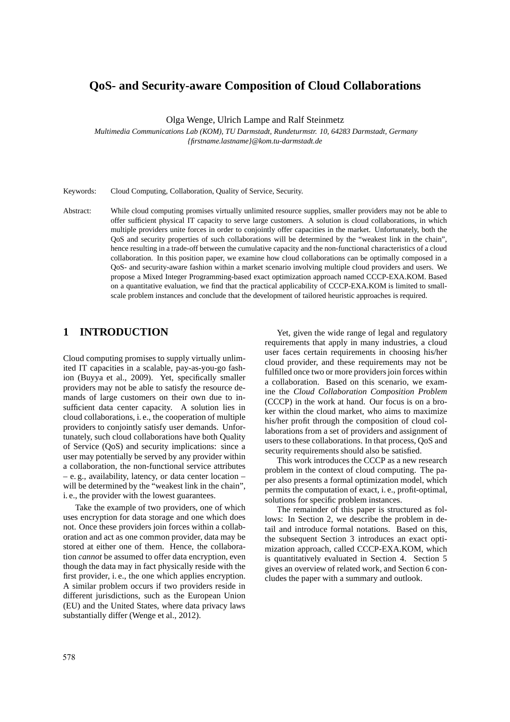# **QoS- and Security-aware Composition of Cloud Collaborations**

Olga Wenge, Ulrich Lampe and Ralf Steinmetz

*Multimedia Communications Lab (KOM), TU Darmstadt, Rundeturmstr. 10, 64283 Darmstadt, Germany {firstname.lastname}@kom.tu-darmstadt.de*

Keywords: Cloud Computing, Collaboration, Quality of Service, Security.

Abstract: While cloud computing promises virtually unlimited resource supplies, smaller providers may not be able to offer sufficient physical IT capacity to serve large customers. A solution is cloud collaborations, in which multiple providers unite forces in order to conjointly offer capacities in the market. Unfortunately, both the QoS and security properties of such collaborations will be determined by the "weakest link in the chain", hence resulting in a trade-off between the cumulative capacity and the non-functional characteristics of a cloud collaboration. In this position paper, we examine how cloud collaborations can be optimally composed in a QoS- and security-aware fashion within a market scenario involving multiple cloud providers and users. We propose a Mixed Integer Programming-based exact optimization approach named CCCP-EXA.KOM. Based on a quantitative evaluation, we find that the practical applicability of CCCP-EXA.KOM is limited to smallscale problem instances and conclude that the development of tailored heuristic approaches is required.

### **1 INTRODUCTION**

Cloud computing promises to supply virtually unlimited IT capacities in a scalable, pay-as-you-go fashion (Buyya et al., 2009). Yet, specifically smaller providers may not be able to satisfy the resource demands of large customers on their own due to insufficient data center capacity. A solution lies in cloud collaborations, i. e., the cooperation of multiple providers to conjointly satisfy user demands. Unfortunately, such cloud collaborations have both Quality of Service (QoS) and security implications: since a user may potentially be served by any provider within a collaboration, the non-functional service attributes – e. g., availability, latency, or data center location – will be determined by the "weakest link in the chain", i. e., the provider with the lowest guarantees.

Take the example of two providers, one of which uses encryption for data storage and one which does not. Once these providers join forces within a collaboration and act as one common provider, data may be stored at either one of them. Hence, the collaboration *cannot* be assumed to offer data encryption, even though the data may in fact physically reside with the first provider, i. e., the one which applies encryption. A similar problem occurs if two providers reside in different jurisdictions, such as the European Union (EU) and the United States, where data privacy laws substantially differ (Wenge et al., 2012).

Yet, given the wide range of legal and regulatory requirements that apply in many industries, a cloud user faces certain requirements in choosing his/her cloud provider, and these requirements may not be fulfilled once two or more providers join forces within a collaboration. Based on this scenario, we examine the *Cloud Collaboration Composition Problem* (CCCP) in the work at hand. Our focus is on a broker within the cloud market, who aims to maximize his/her profit through the composition of cloud collaborations from a set of providers and assignment of users to these collaborations. In that process, QoS and security requirements should also be satisfied.

This work introduces the CCCP as a new research problem in the context of cloud computing. The paper also presents a formal optimization model, which permits the computation of exact, i. e., profit-optimal, solutions for specific problem instances.

The remainder of this paper is structured as follows: In Section 2, we describe the problem in detail and introduce formal notations. Based on this, the subsequent Section 3 introduces an exact optimization approach, called CCCP-EXA.KOM, which is quantitatively evaluated in Section 4. Section 5 gives an overview of related work, and Section 6 concludes the paper with a summary and outlook.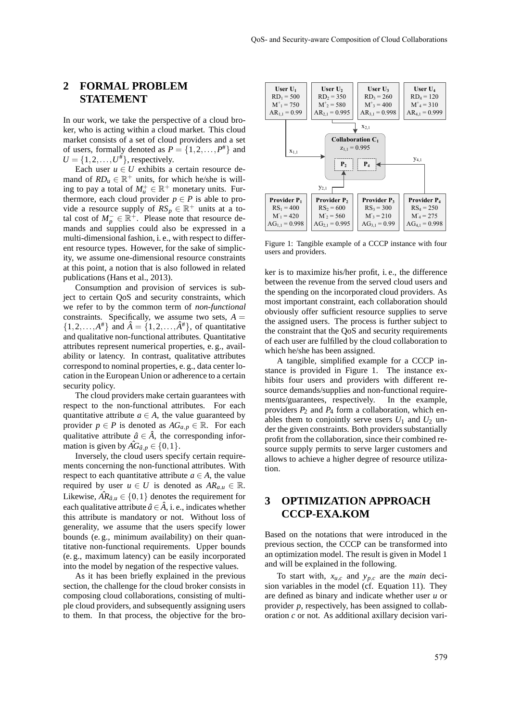## **2 FORMAL PROBLEM STATEMENT**

In our work, we take the perspective of a cloud broker, who is acting within a cloud market. This cloud market consists of a set of cloud providers and a set of users, formally denoted as  $P = \{1, 2, ..., P^*\}$  and  $U = \{1, 2, \ldots, U^{\#}\},$  respectively.

Each user  $u \in U$  exhibits a certain resource demand of  $RD_u \in \mathbb{R}^+$  units, for which he/she is willing to pay a total of  $M^+_u \in \mathbb{R}^+$  monetary units. Furthermore, each cloud provider  $p \in P$  is able to provide a resource supply of  $RS_p \in \mathbb{R}^+$  units at a total cost of  $M_p^- \in \mathbb{R}^+$ . Please note that resource demands and supplies could also be expressed in a multi-dimensional fashion, i. e., with respect to different resource types. However, for the sake of simplicity, we assume one-dimensional resource constraints at this point, a notion that is also followed in related publications (Hans et al., 2013).

Consumption and provision of services is subject to certain QoS and security constraints, which we refer to by the common term of *non-functional* constraints. Specifically, we assume two sets,  $A =$  $\{1, 2, ..., A^* \}$  and  $\hat{A} = \{1, 2, ..., \hat{A}^* \}$ , of quantitative and qualitative non-functional attributes. Quantitative attributes represent numerical properties, e. g., availability or latency. In contrast, qualitative attributes correspond to nominal properties, e. g., data center location in the European Union or adherence to a certain security policy.

The cloud providers make certain guarantees with respect to the non-functional attributes. For each quantitative attribute  $a \in A$ , the value guaranteed by provider  $p \in P$  is denoted as  $AG_{a,p} \in \mathbb{R}$ . For each qualitative attribute  $\hat{a} \in \hat{A}$ , the corresponding information is given by  $\hat{AG}_{\hat{a},p} \in \{0,1\}.$ 

Inversely, the cloud users specify certain requirements concerning the non-functional attributes. With respect to each quantitative attribute  $a \in A$ , the value required by user  $u \in U$  is denoted as  $AR_{au} \in \mathbb{R}$ . Likewise,  $\hat{AR}_{\hat{a},\mu} \in \{0,1\}$  denotes the requirement for each qualitative attribute  $\hat{a} \in \hat{A}$ , i. e., indicates whether this attribute is mandatory or not. Without loss of generality, we assume that the users specify lower bounds (e. g., minimum availability) on their quantitative non-functional requirements. Upper bounds (e. g., maximum latency) can be easily incorporated into the model by negation of the respective values.

As it has been briefly explained in the previous section, the challenge for the cloud broker consists in composing cloud collaborations, consisting of multiple cloud providers, and subsequently assigning users to them. In that process, the objective for the bro-



Figure 1: Tangible example of a CCCP instance with four users and providers.

ker is to maximize his/her profit, i. e., the difference between the revenue from the served cloud users and the spending on the incorporated cloud providers. As most important constraint, each collaboration should obviously offer sufficient resource supplies to serve the assigned users. The process is further subject to the constraint that the QoS and security requirements of each user are fulfilled by the cloud collaboration to which he/she has been assigned.

A tangible, simplified example for a CCCP instance is provided in Figure 1. The instance exhibits four users and providers with different resource demands/supplies and non-functional requirements/guarantees, respectively. In the example, providers  $P_2$  and  $P_4$  form a collaboration, which enables them to conjointly serve users  $U_1$  and  $U_2$  under the given constraints. Both providers substantially profit from the collaboration, since their combined resource supply permits to serve larger customers and allows to achieve a higher degree of resource utilization.

# **3 OPTIMIZATION APPROACH CCCP-EXA.KOM**

Based on the notations that were introduced in the previous section, the CCCP can be transformed into an optimization model. The result is given in Model 1 and will be explained in the following.

To start with,  $x_{u,c}$  and  $y_{p,c}$  are the *main* decision variables in the model (cf. Equation 11). They are defined as binary and indicate whether user *u* or provider *p*, respectively, has been assigned to collaboration *c* or not. As additional axillary decision vari-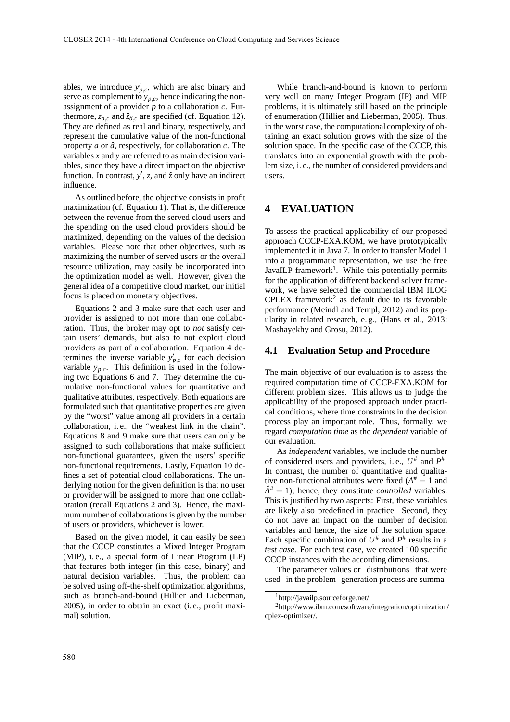ables, we introduce  $y'_{p,c}$ , which are also binary and serve as complement to  $y_{p,c}$ , hence indicating the nonassignment of a provider *p* to a collaboration *c*. Furthermore,  $z_{a,c}$  and  $\hat{z}_{\hat{a},c}$  are specified (cf. Equation 12). They are defined as real and binary, respectively, and represent the cumulative value of the non-functional property  $a$  or  $\hat{a}$ , respectively, for collaboration  $c$ . The variables *x* and *y* are referred to as main decision variables, since they have a direct impact on the objective function. In contrast,  $y'$ , z, and  $\hat{z}$  only have an indirect influence.

As outlined before, the objective consists in profit maximization (cf. Equation 1). That is, the difference between the revenue from the served cloud users and the spending on the used cloud providers should be maximized, depending on the values of the decision variables. Please note that other objectives, such as maximizing the number of served users or the overall resource utilization, may easily be incorporated into the optimization model as well. However, given the general idea of a competitive cloud market, our initial focus is placed on monetary objectives.

Equations 2 and 3 make sure that each user and provider is assigned to not more than one collaboration. Thus, the broker may opt to *not* satisfy certain users' demands, but also to not exploit cloud providers as part of a collaboration. Equation 4 determines the inverse variable  $y'_{p,c}$  for each decision variable  $y_{p,c}$ . This definition is used in the following two Equations 6 and 7. They determine the cumulative non-functional values for quantitative and qualitative attributes, respectively. Both equations are formulated such that quantitative properties are given by the "worst" value among all providers in a certain collaboration, i. e., the "weakest link in the chain". Equations 8 and 9 make sure that users can only be assigned to such collaborations that make sufficient non-functional guarantees, given the users' specific non-functional requirements. Lastly, Equation 10 defines a set of potential cloud collaborations. The underlying notion for the given definition is that no user or provider will be assigned to more than one collaboration (recall Equations 2 and 3). Hence, the maximum number of collaborations is given by the number of users or providers, whichever is lower.

Based on the given model, it can easily be seen that the CCCP constitutes a Mixed Integer Program (MIP), i. e., a special form of Linear Program (LP) that features both integer (in this case, binary) and natural decision variables. Thus, the problem can be solved using off-the-shelf optimization algorithms, such as branch-and-bound (Hillier and Lieberman, 2005), in order to obtain an exact (i. e., profit maximal) solution.

While branch-and-bound is known to perform very well on many Integer Program (IP) and MIP problems, it is ultimately still based on the principle of enumeration (Hillier and Lieberman, 2005). Thus, in the worst case, the computational complexity of obtaining an exact solution grows with the size of the solution space. In the specific case of the CCCP, this translates into an exponential growth with the problem size, i. e., the number of considered providers and users.

### **4 EVALUATION**

To assess the practical applicability of our proposed approach CCCP-EXA.KOM, we have prototypically implemented it in Java 7. In order to transfer Model 1 into a programmatic representation, we use the free JavaILP framework<sup>1</sup>. While this potentially permits for the application of different backend solver framework, we have selected the commercial IBM ILOG CPLEX framework<sup>2</sup> as default due to its favorable performance (Meindl and Templ, 2012) and its popularity in related research, e. g., (Hans et al., 2013; Mashayekhy and Grosu, 2012).

#### **4.1 Evaluation Setup and Procedure**

The main objective of our evaluation is to assess the required computation time of CCCP-EXA.KOM for different problem sizes. This allows us to judge the applicability of the proposed approach under practical conditions, where time constraints in the decision process play an important role. Thus, formally, we regard *computation time* as the *dependent* variable of our evaluation.

As *independent* variables, we include the number of considered users and providers, i.e.,  $U^{\#}$  and  $P^{\#}$ . In contrast, the number of quantitative and qualitative non-functional attributes were fixed  $(A^{\#} = 1$  and  $\hat{A}^{\#} = 1$ ); hence, they constitute *controlled* variables. This is justified by two aspects: First, these variables are likely also predefined in practice. Second, they do not have an impact on the number of decision variables and hence, the size of the solution space. Each specific combination of  $U^{\#}$  and  $P^{\#}$  results in a *test case*. For each test case, we created 100 specific CCCP instances with the according dimensions.

The parameter values or distributions that were used in the problem generation process are summa-

<sup>1</sup>http://javailp.sourceforge.net/.

<sup>2</sup>http://www.ibm.com/software/integration/optimization/ cplex-optimizer/.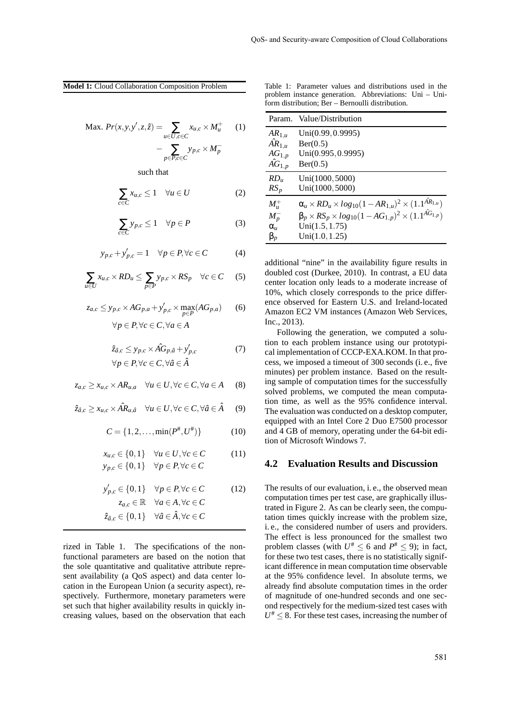| <b>Model 1:</b> Cloud Collaboration Composition Problem |
|---------------------------------------------------------|
|---------------------------------------------------------|

$$
\text{Max. } Pr(x, y, y', z, \hat{z}) = \sum_{u \in U, c \in C} x_{u,c} \times M_u^+ \qquad (1)
$$

$$
- \sum_{p \in P, c \in C} y_{p,c} \times M_p^-
$$

such that

$$
\sum_{c \in C} x_{u,c} \le 1 \quad \forall u \in U \tag{2}
$$

$$
\sum_{c \in C} y_{p,c} \le 1 \quad \forall p \in P \tag{3}
$$

$$
y_{p,c} + y'_{p,c} = 1 \quad \forall p \in P, \forall c \in C \tag{4}
$$

$$
\sum_{u \in U} x_{u,c} \times RD_u \le \sum_{p \in P} y_{p,c} \times RS_p \quad \forall c \in C \quad (5)
$$

$$
z_{a,c} \leq y_{p,c} \times AG_{p,a} + y'_{p,c} \times \max_{p \in P} (AG_{p,a}) \qquad (6)
$$
  

$$
\forall p \in P, \forall c \in C, \forall a \in A
$$

$$
\hat{z}_{\hat{a},c} \leq y_{p,c} \times \hat{AG}_{p,\hat{a}} + y'_{p,c} \tag{7}
$$
\n
$$
\forall p \in P, \forall c \in C, \forall \hat{a} \in \hat{A}
$$

$$
z_{a,c} \ge x_{u,c} \times AR_{u,a} \quad \forall u \in U, \forall c \in C, \forall a \in A \quad (8)
$$

$$
\hat{z}_{\hat{a},c} \geq x_{u,c} \times \hat{A} R_{u,\hat{a}} \quad \forall u \in U, \forall c \in C, \forall \hat{a} \in \hat{A} \quad (9)
$$

$$
C = \{1, 2, \dots, \min(P^{\#}, U^{\#})\}
$$
 (10)

$$
x_{u,c} \in \{0,1\} \quad \forall u \in U, \forall c \in C \quad (11)
$$
  

$$
y_{p,c} \in \{0,1\} \quad \forall p \in P, \forall c \in C
$$

$$
y'_{p,c} \in \{0,1\} \quad \forall p \in P, \forall c \in C \quad (12)
$$

$$
z_{a,c} \in \mathbb{R} \quad \forall a \in A, \forall c \in C
$$

$$
\hat{z}_{\hat{a},c} \in \{0,1\} \quad \forall \hat{a} \in \hat{A}, \forall c \in C
$$

rized in Table 1. The specifications of the nonfunctional parameters are based on the notion that the sole quantitative and qualitative attribute represent availability (a QoS aspect) and data center location in the European Union (a security aspect), respectively. Furthermore, monetary parameters were set such that higher availability results in quickly increasing values, based on the observation that each

Table 1: Parameter values and distributions used in the problem instance generation. Abbreviations: Uni – Uniform distribution; Ber – Bernoulli distribution.

| Param.                  | Value/Distribution                                                                  |
|-------------------------|-------------------------------------------------------------------------------------|
| $AR_{1,u}$              | Uni(0.99, 0.9995)                                                                   |
| $\hat{AR}_{1,u}$        | Ber(0.5)                                                                            |
| $AG_{1,p}$              | Uni(0.995, 0.9995)                                                                  |
| $\hat{AG}_{1,p}$        | Ber(0.5)                                                                            |
| $RD_u$                  | Uni(1000, 5000)                                                                     |
| $RS_p$                  | Uni(1000, 5000)                                                                     |
| $M^+_u$                 | $\alpha_u \times RD_u \times log_{10}(1 - AR_{1,u})^2 \times (1.1^{AR_{1,u}})$      |
| $M_{p}^{-}$             | $\beta_p \times RS_p \times log_{10}(1 - AG_{1,p})^2 \times (1.1^{\hat{AG}_{1,p}})$ |
| $\alpha_{\prime\prime}$ | Uni(1.5, 1.75)                                                                      |
| $\beta_p$               | Uni(1.0, 1.25)                                                                      |

additional "nine" in the availability figure results in doubled cost (Durkee, 2010). In contrast, a EU data center location only leads to a moderate increase of 10%, which closely corresponds to the price difference observed for Eastern U.S. and Ireland-located Amazon EC2 VM instances (Amazon Web Services, Inc., 2013).

Following the generation, we computed a solution to each problem instance using our prototypical implementation of CCCP-EXA.KOM. In that process, we imposed a timeout of 300 seconds (i. e., five minutes) per problem instance. Based on the resulting sample of computation times for the successfully solved problems, we computed the mean computation time, as well as the 95% confidence interval. The evaluation was conducted on a desktop computer, equipped with an Intel Core 2 Duo E7500 processor and 4 GB of memory, operating under the 64-bit edition of Microsoft Windows 7.

#### **4.2 Evaluation Results and Discussion**

The results of our evaluation, i. e., the observed mean computation times per test case, are graphically illustrated in Figure 2. As can be clearly seen, the computation times quickly increase with the problem size, i. e., the considered number of users and providers. The effect is less pronounced for the smallest two problem classes (with  $U^{\#} \leq 6$  and  $P^{\#} \leq 9$ ); in fact, for these two test cases, there is no statistically significant difference in mean computation time observable at the 95% confidence level. In absolute terms, we already find absolute computation times in the order of magnitude of one-hundred seconds and one second respectively for the medium-sized test cases with  $U^* \leq 8$ . For these test cases, increasing the number of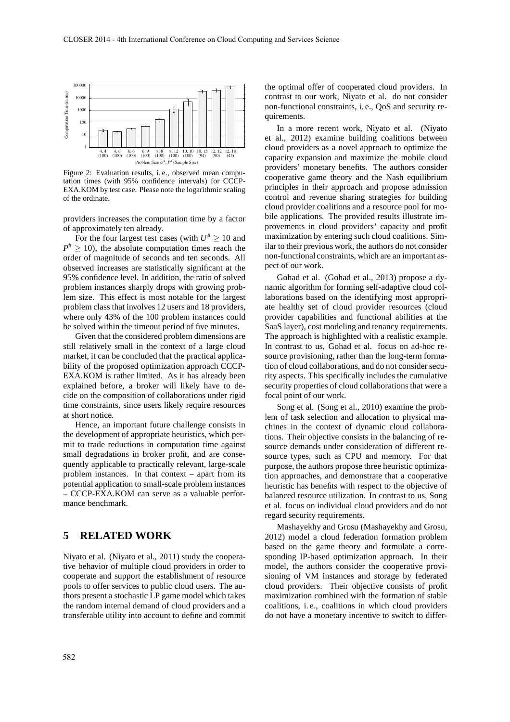

Figure 2: Evaluation results, i. e., observed mean computation times (with 95% confidence intervals) for CCCP-EXA.KOM by test case. Please note the logarithmic scaling of the ordinate.

providers increases the computation time by a factor of approximately ten already.

For the four largest test cases (with  $U^{\#} \geq 10$  and  $P^{\#} \geq 10$ ), the absolute computation times reach the order of magnitude of seconds and ten seconds. All observed increases are statistically significant at the 95% confidence level. In addition, the ratio of solved problem instances sharply drops with growing problem size. This effect is most notable for the largest problem class that involves 12 users and 18 providers, where only 43% of the 100 problem instances could be solved within the timeout period of five minutes.

Given that the considered problem dimensions are still relatively small in the context of a large cloud market, it can be concluded that the practical applicability of the proposed optimization approach CCCP-EXA.KOM is rather limited. As it has already been explained before, a broker will likely have to decide on the composition of collaborations under rigid time constraints, since users likely require resources at short notice.

Hence, an important future challenge consists in the development of appropriate heuristics, which permit to trade reductions in computation time against small degradations in broker profit, and are consequently applicable to practically relevant, large-scale problem instances. In that context – apart from its potential application to small-scale problem instances – CCCP-EXA.KOM can serve as a valuable performance benchmark.

### **5 RELATED WORK**

Niyato et al. (Niyato et al., 2011) study the cooperative behavior of multiple cloud providers in order to cooperate and support the establishment of resource pools to offer services to public cloud users. The authors present a stochastic LP game model which takes the random internal demand of cloud providers and a transferable utility into account to define and commit

the optimal offer of cooperated cloud providers. In contrast to our work, Niyato et al. do not consider non-functional constraints, i. e., QoS and security requirements.

In a more recent work, Niyato et al. (Niyato et al., 2012) examine building coalitions between cloud providers as a novel approach to optimize the capacity expansion and maximize the mobile cloud providers' monetary benefits. The authors consider cooperative game theory and the Nash equilibrium principles in their approach and propose admission control and revenue sharing strategies for building cloud provider coalitions and a resource pool for mobile applications. The provided results illustrate improvements in cloud providers' capacity and profit maximization by entering such cloud coalitions. Similar to their previous work, the authors do not consider non-functional constraints, which are an important aspect of our work.

Gohad et al. (Gohad et al., 2013) propose a dynamic algorithm for forming self-adaptive cloud collaborations based on the identifying most appropriate healthy set of cloud provider resources (cloud provider capabilities and functional abilities at the SaaS layer), cost modeling and tenancy requirements. The approach is highlighted with a realistic example. In contrast to us, Gohad et al. focus on ad-hoc resource provisioning, rather than the long-term formation of cloud collaborations, and do not consider security aspects. This specifically includes the cumulative security properties of cloud collaborations that were a focal point of our work.

Song et al. (Song et al., 2010) examine the problem of task selection and allocation to physical machines in the context of dynamic cloud collaborations. Their objective consists in the balancing of resource demands under consideration of different resource types, such as CPU and memory. For that purpose, the authors propose three heuristic optimization approaches, and demonstrate that a cooperative heuristic has benefits with respect to the objective of balanced resource utilization. In contrast to us, Song et al. focus on individual cloud providers and do not regard security requirements.

Mashayekhy and Grosu (Mashayekhy and Grosu, 2012) model a cloud federation formation problem based on the game theory and formulate a corresponding IP-based optimization approach. In their model, the authors consider the cooperative provisioning of VM instances and storage by federated cloud providers. Their objective consists of profit maximization combined with the formation of stable coalitions, i. e., coalitions in which cloud providers do not have a monetary incentive to switch to differ